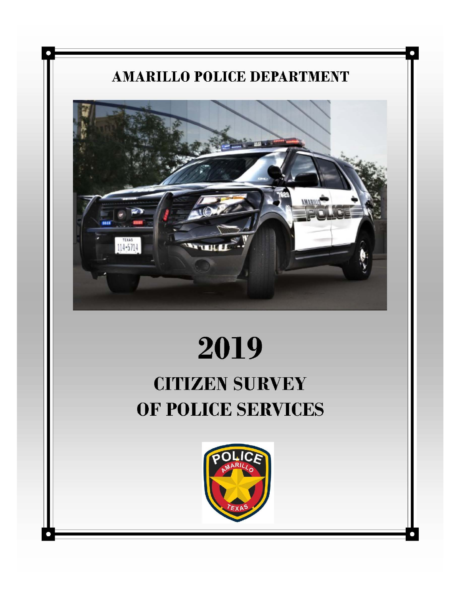## **AMARILLO POLICE DEPARTMENT**

D



# 2019

## **CITIZEN SURVEY** OF POLICE SERVICES

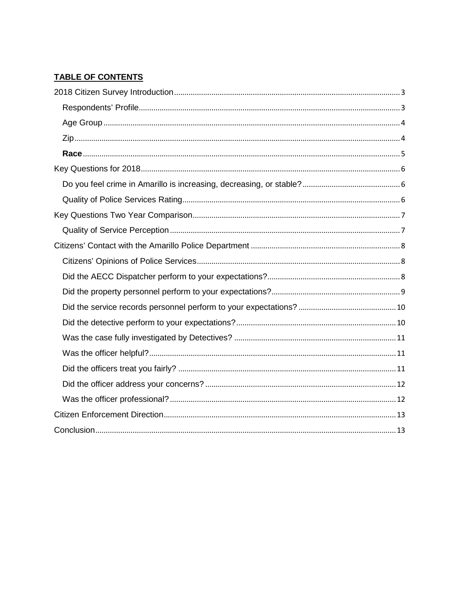### **TABLE OF CONTENTS**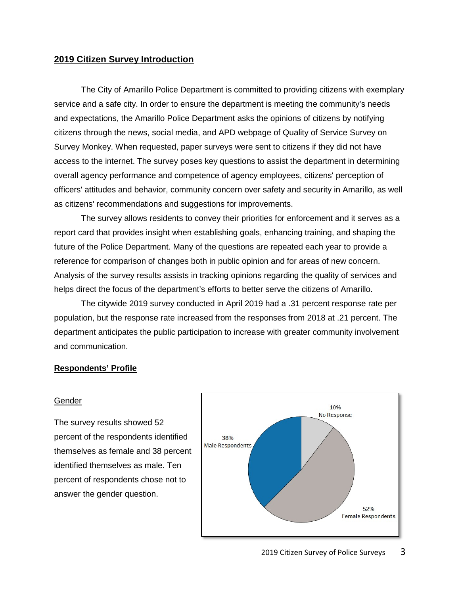#### <span id="page-2-0"></span>**2019 Citizen Survey Introduction**

The City of Amarillo Police Department is committed to providing citizens with exemplary service and a safe city. In order to ensure the department is meeting the community's needs and expectations, the Amarillo Police Department asks the opinions of citizens by notifying citizens through the news, social media, and APD webpage of Quality of Service Survey on Survey Monkey. When requested, paper surveys were sent to citizens if they did not have access to the internet. The survey poses key questions to assist the department in determining overall agency performance and competence of agency employees, citizens' perception of officers' attitudes and behavior, community concern over safety and security in Amarillo, as well as citizens' recommendations and suggestions for improvements.

The survey allows residents to convey their priorities for enforcement and it serves as a report card that provides insight when establishing goals, enhancing training, and shaping the future of the Police Department. Many of the questions are repeated each year to provide a reference for comparison of changes both in public opinion and for areas of new concern. Analysis of the survey results assists in tracking opinions regarding the quality of services and helps direct the focus of the department's efforts to better serve the citizens of Amarillo.

The citywide 2019 survey conducted in April 2019 had a .31 percent response rate per population, but the response rate increased from the responses from 2018 at .21 percent. The department anticipates the public participation to increase with greater community involvement and communication.

#### **Respondents' Profile**

#### Gender

The survey results showed 52 percent of the respondents identified themselves as female and 38 percent identified themselves as male. Ten percent of respondents chose not to answer the gender question.

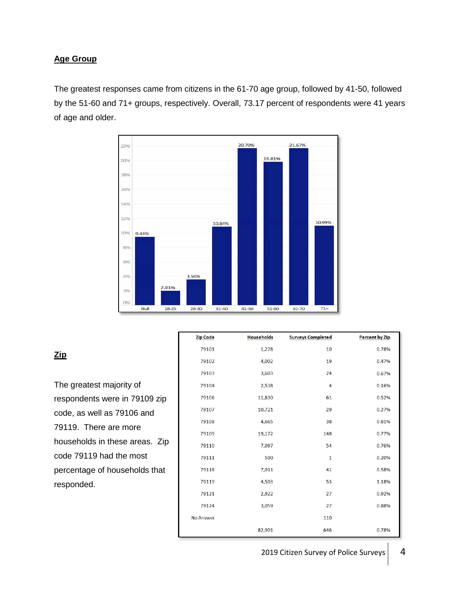#### <span id="page-3-0"></span>**Age Group**

The greatest responses came from citizens in the 61-70 age group, followed by 41-50, followed by the 51-60 and 71+ groups, respectively. Overall, 73.17 percent of respondents were 41 years of age and older.



#### Zip Code **Households Surveys Completed** Percent by Zip 79101 1,278 10 0.78% 79102 4,002 19 0.47% 3,603 79103  $24$ 0.67% 79104 2,538  $\overline{4}$ 0.16% 11,830 0.52% 79106 61 10,721 0.27% 79107 29 0.81% 79108 4,665 38 19,172 0.77% 79109 148 0.76% 79110 7,097 54 79111 500  $\mathbf{1}$ 0.20% 79118 7,011 41 0.58% 79119 4,503 53 1.18% 79121 2,922  $27$ 0.92% 79124 3,059  $27$ 0.88% No Answer 110 82,901 646 0.78%

### **Zip**

The greatest majority of respondents were in 79109 zip code, as well as 79106 and 79119. There are more households in these areas. Zip code 79119 had the most percentage of households that responded.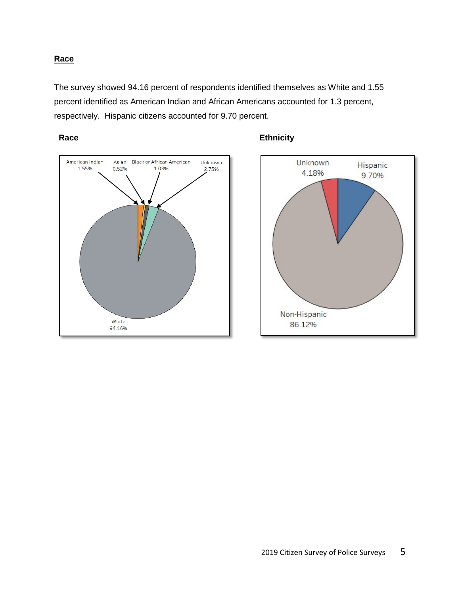#### <span id="page-4-0"></span>**Race**

The survey showed 94.16 percent of respondents identified themselves as White and 1.55 percent identified as American Indian and African Americans accounted for 1.3 percent, respectively. Hispanic citizens accounted for 9.70 percent.





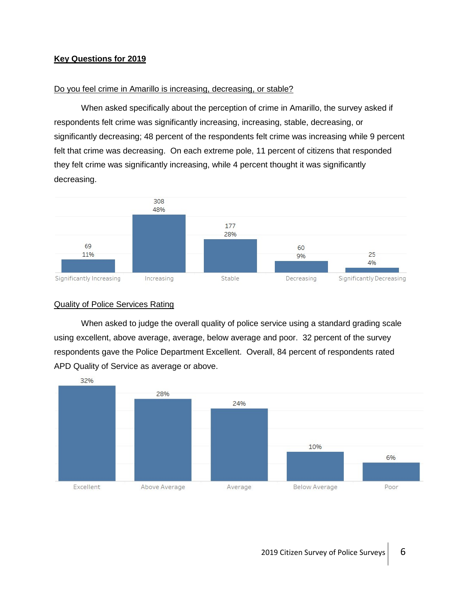#### <span id="page-5-0"></span>**Key Questions for 2019**

#### Do you feel crime in Amarillo is increasing, decreasing, or stable?

When asked specifically about the perception of crime in Amarillo, the survey asked if respondents felt crime was significantly increasing, increasing, stable, decreasing, or significantly decreasing; 48 percent of the respondents felt crime was increasing while 9 percent felt that crime was decreasing. On each extreme pole, 11 percent of citizens that responded they felt crime was significantly increasing, while 4 percent thought it was significantly decreasing.



#### Quality of Police Services Rating

When asked to judge the overall quality of police service using a standard grading scale using excellent, above average, average, below average and poor. 32 percent of the survey respondents gave the Police Department Excellent. Overall, 84 percent of respondents rated APD Quality of Service as average or above.

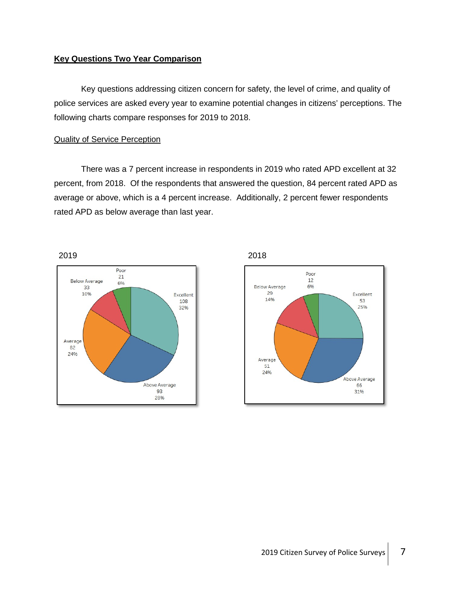#### <span id="page-6-0"></span>**Key Questions Two Year Comparison**

Key questions addressing citizen concern for safety, the level of crime, and quality of police services are asked every year to examine potential changes in citizens' perceptions. The following charts compare responses for 2019 to 2018.

#### Quality of Service Perception

There was a 7 percent increase in respondents in 2019 who rated APD excellent at 32 percent, from 2018. Of the respondents that answered the question, 84 percent rated APD as average or above, which is a 4 percent increase. Additionally, 2 percent fewer respondents rated APD as below average than last year.





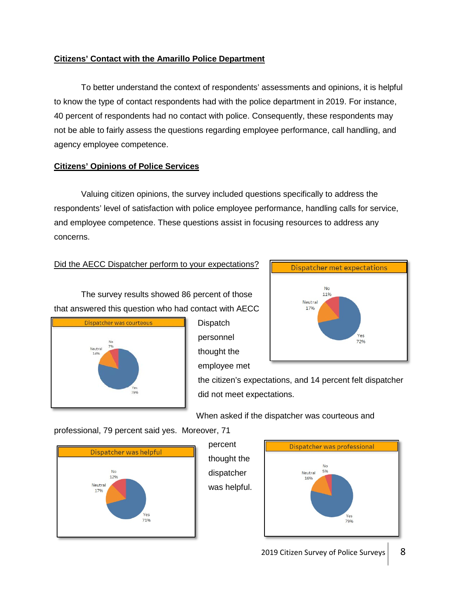#### <span id="page-7-0"></span>**Citizens' Contact with the Amarillo Police Department**

To better understand the context of respondents' assessments and opinions, it is helpful to know the type of contact respondents had with the police department in 2019. For instance, 40 percent of respondents had no contact with police. Consequently, these respondents may not be able to fairly assess the questions regarding employee performance, call handling, and agency employee competence.

#### **Citizens' Opinions of Police Services**

Valuing citizen opinions, the survey included questions specifically to address the respondents' level of satisfaction with police employee performance, handling calls for service, and employee competence. These questions assist in focusing resources to address any concerns.

#### Did the AECC Dispatcher perform to your expectations?

The survey results showed 86 percent of those that answered this question who had contact with AECC



**Dispatch** personnel thought the employee met



the citizen's expectations, and 14 percent felt dispatcher did not meet expectations.

When asked if the dispatcher was courteous and

professional, 79 percent said yes. Moreover, 71



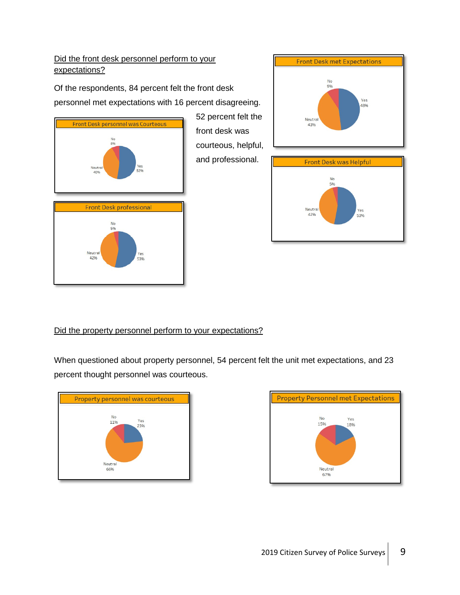#### <span id="page-8-0"></span>Did the front desk personnel perform to your expectations?

Of the respondents, 84 percent felt the front desk personnel met expectations with 16 percent disagreeing.









#### Did the property personnel perform to your expectations?

When questioned about property personnel, 54 percent felt the unit met expectations, and 23 percent thought personnel was courteous.

52 percent felt the

courteous, helpful, and professional.

front desk was



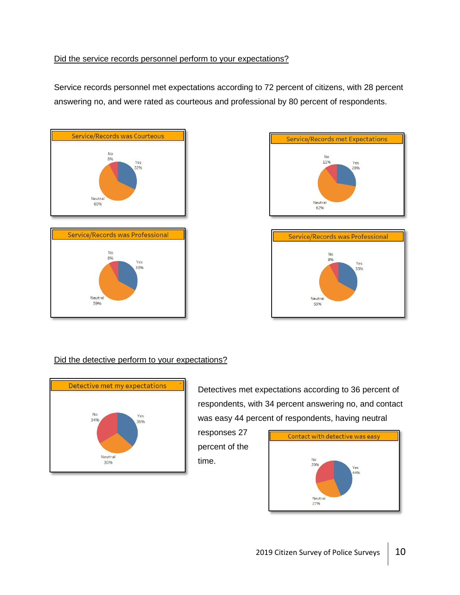#### <span id="page-9-0"></span>Did the service records personnel perform to your expectations?

Service records personnel met expectations according to 72 percent of citizens, with 28 percent answering no, and were rated as courteous and professional by 80 percent of respondents.









#### Did the detective perform to your expectations?



Detectives met expectations according to 36 percent of respondents, with 34 percent answering no, and contact was easy 44 percent of respondents, having neutral



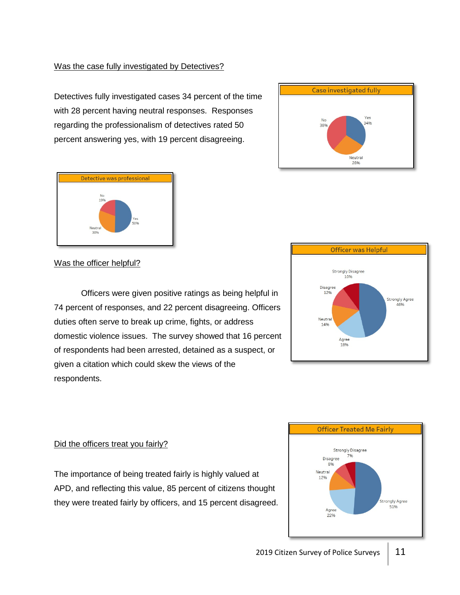#### <span id="page-10-0"></span>Was the case fully investigated by Detectives?

Detectives fully investigated cases 34 percent of the time with 28 percent having neutral responses. Responses regarding the professionalism of detectives rated 50 percent answering yes, with 19 percent disagreeing.



#### **Officer was Helpful Strongly Disagree** 10% Disagree 1296 **Strongly Agree** 46% Neutra 1496 Agree 1896

Case investigated fully

 $N<sub>c</sub>$ 

389

Yes

34%

Neutral 28%

Was the officer helpful?

Officers were given positive ratings as being helpful in 74 percent of responses, and 22 percent disagreeing. Officers duties often serve to break up crime, fights, or address domestic violence issues. The survey showed that 16 percent of respondents had been arrested, detained as a suspect, or given a citation which could skew the views of the respondents.

#### Did the officers treat you fairly?

The importance of being treated fairly is highly valued at APD, and reflecting this value, 85 percent of citizens thought they were treated fairly by officers, and 15 percent disagreed.

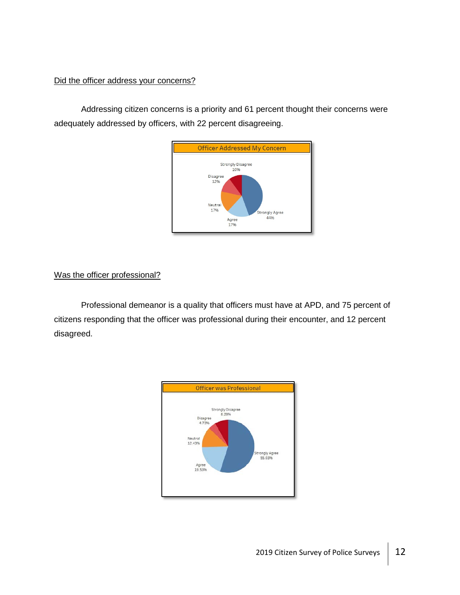#### <span id="page-11-0"></span>Did the officer address your concerns?

Addressing citizen concerns is a priority and 61 percent thought their concerns were adequately addressed by officers, with 22 percent disagreeing.



#### Was the officer professional?

Professional demeanor is a quality that officers must have at APD, and 75 percent of citizens responding that the officer was professional during their encounter, and 12 percent disagreed.

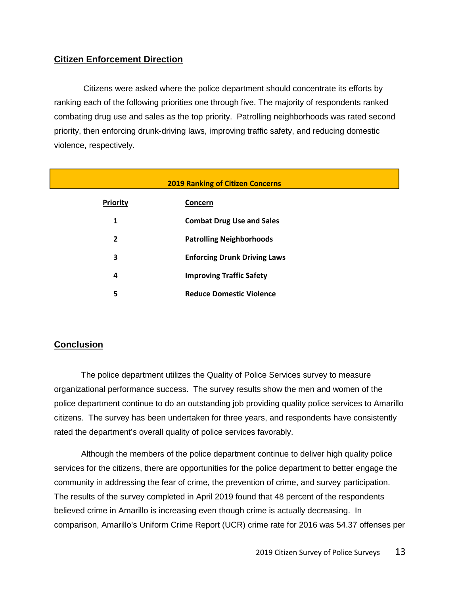#### <span id="page-12-0"></span>**Citizen Enforcement Direction**

Citizens were asked where the police department should concentrate its efforts by ranking each of the following priorities one through five. The majority of respondents ranked combating drug use and sales as the top priority. Patrolling neighborhoods was rated second priority, then enforcing drunk-driving laws, improving traffic safety, and reducing domestic violence, respectively.

| <b>2019 Ranking of Citizen Concerns</b> |                                     |  |
|-----------------------------------------|-------------------------------------|--|
| <b>Priority</b>                         | Concern                             |  |
| 1                                       | <b>Combat Drug Use and Sales</b>    |  |
| $\overline{2}$                          | <b>Patrolling Neighborhoods</b>     |  |
| 3                                       | <b>Enforcing Drunk Driving Laws</b> |  |
| 4                                       | <b>Improving Traffic Safety</b>     |  |
| 5                                       | <b>Reduce Domestic Violence</b>     |  |

#### **Conclusion**

The police department utilizes the Quality of Police Services survey to measure organizational performance success. The survey results show the men and women of the police department continue to do an outstanding job providing quality police services to Amarillo citizens. The survey has been undertaken for three years, and respondents have consistently rated the department's overall quality of police services favorably.

Although the members of the police department continue to deliver high quality police services for the citizens, there are opportunities for the police department to better engage the community in addressing the fear of crime, the prevention of crime, and survey participation. The results of the survey completed in April 2019 found that 48 percent of the respondents believed crime in Amarillo is increasing even though crime is actually decreasing. In comparison, Amarillo's Uniform Crime Report (UCR) crime rate for 2016 was 54.37 offenses per